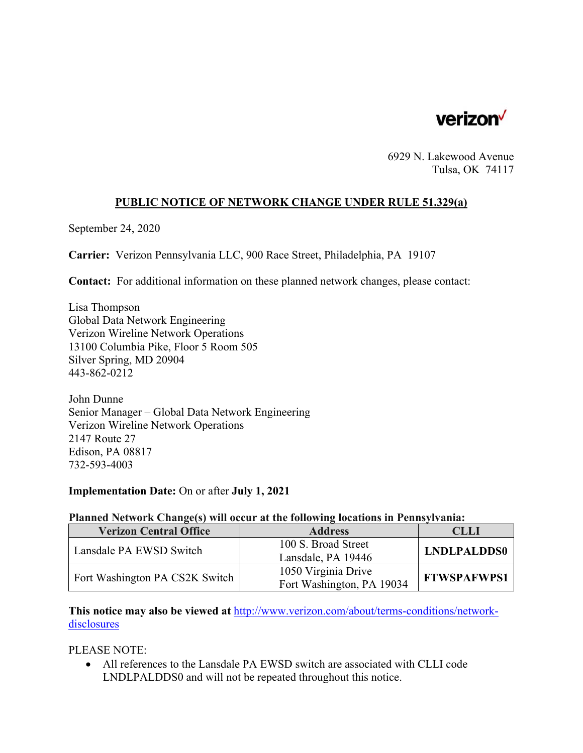

6929 N. Lakewood Avenue Tulsa, OK 74117

### **PUBLIC NOTICE OF NETWORK CHANGE UNDER RULE 51.329(a)**

September 24, 2020

**Carrier:** Verizon Pennsylvania LLC, 900 Race Street, Philadelphia, PA 19107

**Contact:** For additional information on these planned network changes, please contact:

Lisa Thompson Global Data Network Engineering Verizon Wireline Network Operations 13100 Columbia Pike, Floor 5 Room 505 Silver Spring, MD 20904 443-862-0212

John Dunne Senior Manager – Global Data Network Engineering Verizon Wireline Network Operations 2147 Route 27 Edison, PA 08817 732-593-4003

#### **Implementation Date:** On or after **July 1, 2021**

#### **Planned Network Change(s) will occur at the following locations in Pennsylvania:**

| <b>Verizon Central Office</b>  | <b>Address</b>            | CLLI               |
|--------------------------------|---------------------------|--------------------|
| Lansdale PA EWSD Switch        | 100 S. Broad Street       | <b>LNDLPALDDS0</b> |
|                                | Lansdale, PA 19446        |                    |
| Fort Washington PA CS2K Switch | 1050 Virginia Drive       | <b>FTWSPAFWPS1</b> |
|                                | Fort Washington, PA 19034 |                    |

**This notice may also be viewed at** http://www.verizon.com/about/terms-conditions/networkdisclosures

PLEASE NOTE:

 All references to the Lansdale PA EWSD switch are associated with CLLI code LNDLPALDDS0 and will not be repeated throughout this notice.